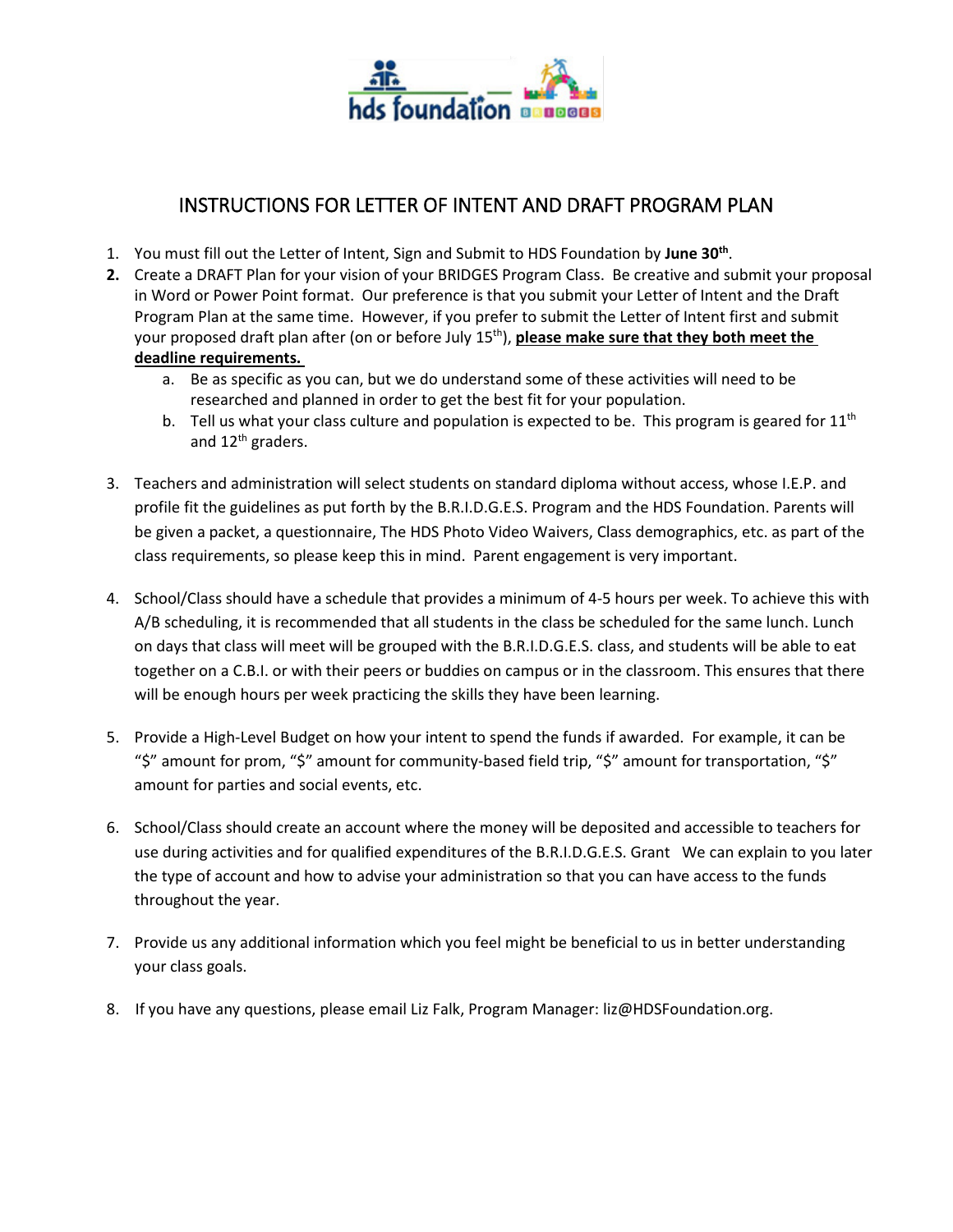

## INSTRUCTIONS FOR LETTER OF INTENT AND DRAFT PROGRAM PLAN

- 1. You must fill out the Letter of Intent, Sign and Submit to HDS Foundation by **June 30th** .
- **2.** Create a DRAFT Plan for your vision of your BRIDGES Program Class. Be creative and submit your proposal in Word or Power Point format. Our preference is that you submit your Letter of Intent and the Draft Program Plan at the same time. However, if you prefer to submit the Letter of Intent first and submit your proposed draft plan after (on or before July 15<sup>th</sup>), **please make sure that they both meet the deadline requirements.** 
	- a. Be as specific as you can, but we do understand some of these activities will need to be researched and planned in order to get the best fit for your population.
	- b. Tell us what your class culture and population is expected to be. This program is geared for  $11<sup>th</sup>$ and 12<sup>th</sup> graders.
- 3. Teachers and administration will select students on standard diploma without access, whose I.E.P. and profile fit the guidelines as put forth by the B.R.I.D.G.E.S. Program and the HDS Foundation. Parents will be given a packet, a questionnaire, The HDS Photo Video Waivers, Class demographics, etc. as part of the class requirements, so please keep this in mind. Parent engagement is very important.
- 4. School/Class should have a schedule that provides a minimum of 4-5 hours per week. To achieve this with A/B scheduling, it is recommended that all students in the class be scheduled for the same lunch. Lunch on days that class will meet will be grouped with the B.R.I.D.G.E.S. class, and students will be able to eat together on a C.B.I. or with their peers or buddies on campus or in the classroom. This ensures that there will be enough hours per week practicing the skills they have been learning.
- 5. Provide a High-Level Budget on how your intent to spend the funds if awarded. For example, it can be "\$" amount for prom, "\$" amount for community-based field trip, "\$" amount for transportation, "\$" amount for parties and social events, etc.
- 6. School/Class should create an account where the money will be deposited and accessible to teachers for use during activities and for qualified expenditures of the B.R.I.D.G.E.S. Grant We can explain to you later the type of account and how to advise your administration so that you can have access to the funds throughout the year.
- 7. Provide us any additional information which you feel might be beneficial to us in better understanding your class goals.
- 8. If you have any questions, please email Liz Falk, Program Manager: liz@HDSFoundation.org.